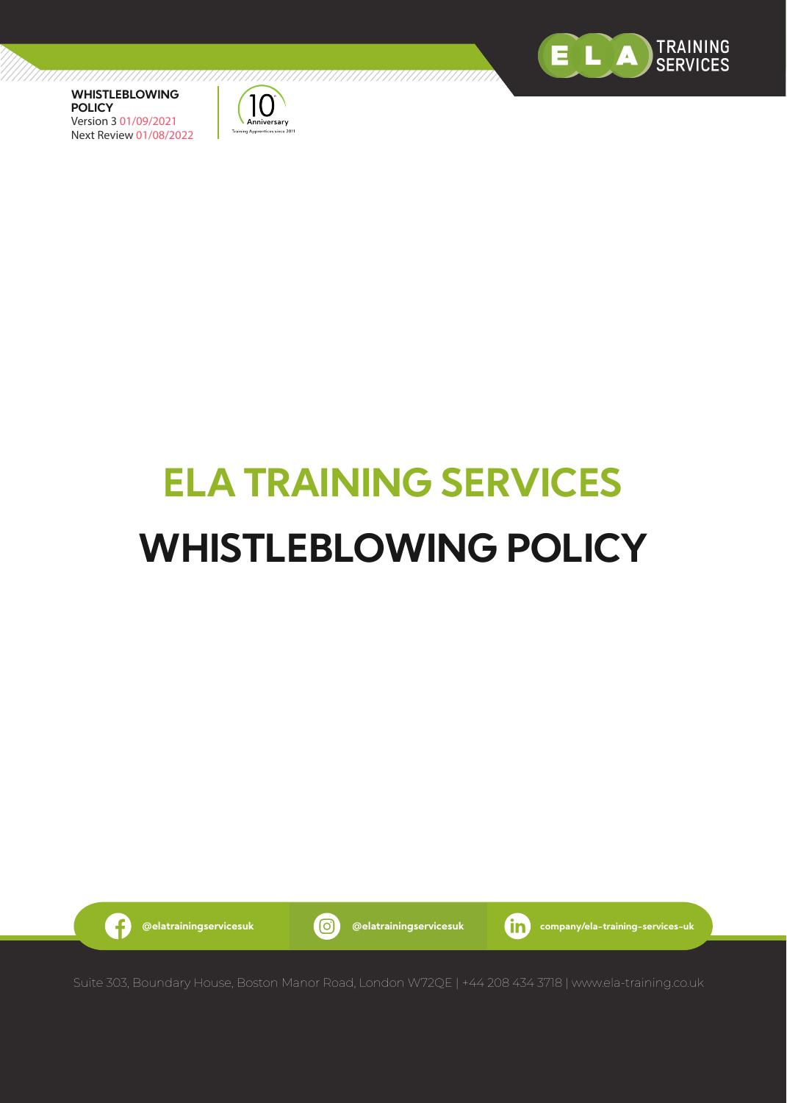



# **ELA TRAINING SERVICES WHISTLEBLOWING POLICY**



G

**@elatrainingservicesuk @elatrainingservicesuk company/ela-training-services-uk**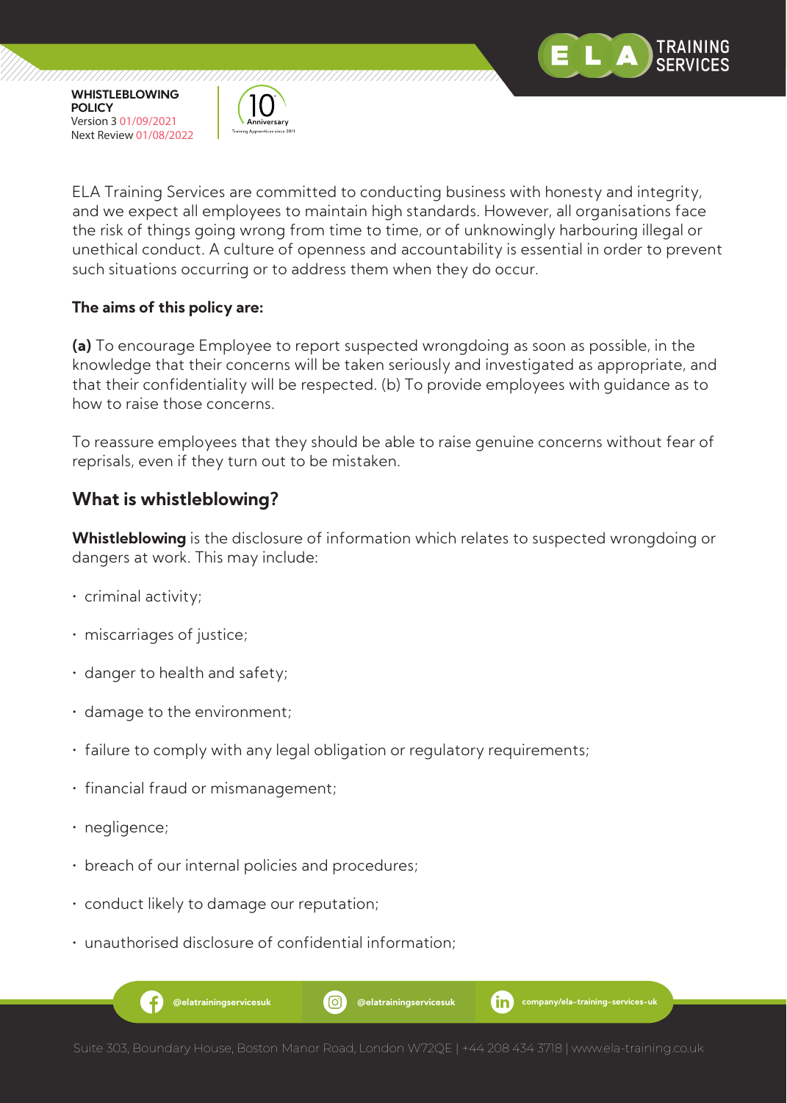

,,,,,,,,,,,,,,,,,,,,,,,,



77777777777777777777

ELA Training Services are committed to conducting business with honesty and integrity, and we expect all employees to maintain high standards. However, all organisations face the risk of things going wrong from time to time, or of unknowingly harbouring illegal or unethical conduct. A culture of openness and accountability is essential in order to prevent such situations occurring or to address them when they do occur.

#### **The aims of this policy are:**

**(a)** To encourage Employee to report suspected wrongdoing as soon as possible, in the knowledge that their concerns will be taken seriously and investigated as appropriate, and that their confidentiality will be respected. (b) To provide employees with guidance as to how to raise those concerns.

To reassure employees that they should be able to raise genuine concerns without fear of reprisals, even if they turn out to be mistaken.

## **What is whistleblowing?**

**Whistleblowing** is the disclosure of information which relates to suspected wrongdoing or dangers at work. This may include:

- criminal activity;
- miscarriages of justice;
- danger to health and safety;
- damage to the environment;
- failure to comply with any legal obligation or regulatory requirements;
- financial fraud or mismanagement;
- negligence;
- breach of our internal policies and procedures;
- conduct likely to damage our reputation;
- unauthorised disclosure of confidential information;

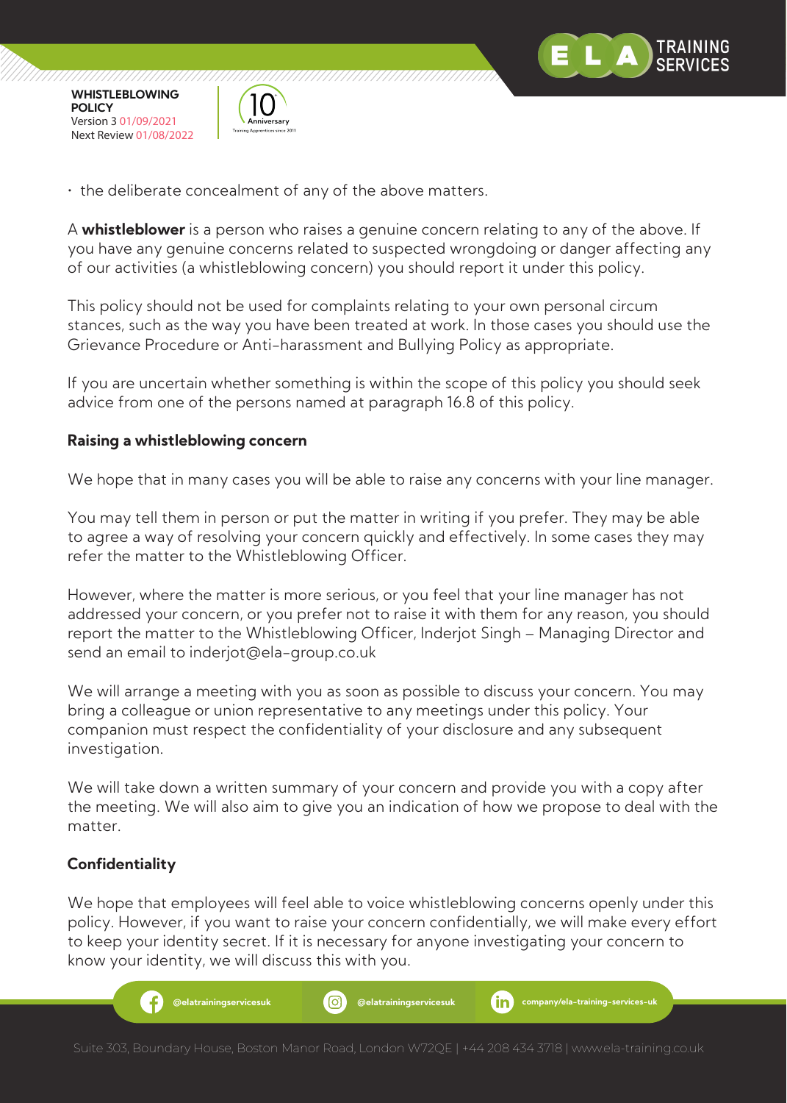



• the deliberate concealment of any of the above matters.

A **whistleblower** is a person who raises a genuine concern relating to any of the above. If you have any genuine concerns related to suspected wrongdoing or danger affecting any of our activities (a whistleblowing concern) you should report it under this policy.

This policy should not be used for complaints relating to your own personal circum stances, such as the way you have been treated at work. In those cases you should use the Grievance Procedure or Anti-harassment and Bullying Policy as appropriate.

If you are uncertain whether something is within the scope of this policy you should seek advice from one of the persons named at paragraph 16.8 of this policy.

#### **Raising a whistleblowing concern**

We hope that in many cases you will be able to raise any concerns with your line manager.

You may tell them in person or put the matter in writing if you prefer. They may be able to agree a way of resolving your concern quickly and effectively. In some cases they may refer the matter to the Whistleblowing Officer.

However, where the matter is more serious, or you feel that your line manager has not addressed your concern, or you prefer not to raise it with them for any reason, you should report the matter to the Whistleblowing Officer, Inderjot Singh – Managing Director and send an email to inderjot@ela-group.co.uk

We will arrange a meeting with you as soon as possible to discuss your concern. You may bring a colleague or union representative to any meetings under this policy. Your companion must respect the confidentiality of your disclosure and any subsequent investigation.

We will take down a written summary of your concern and provide you with a copy after the meeting. We will also aim to give you an indication of how we propose to deal with the matter.

## **Confidentiality**

We hope that employees will feel able to voice whistleblowing concerns openly under this policy. However, if you want to raise your concern confidentially, we will make every effort to keep your identity secret. If it is necessary for anyone investigating your concern to know your identity, we will discuss this with you.

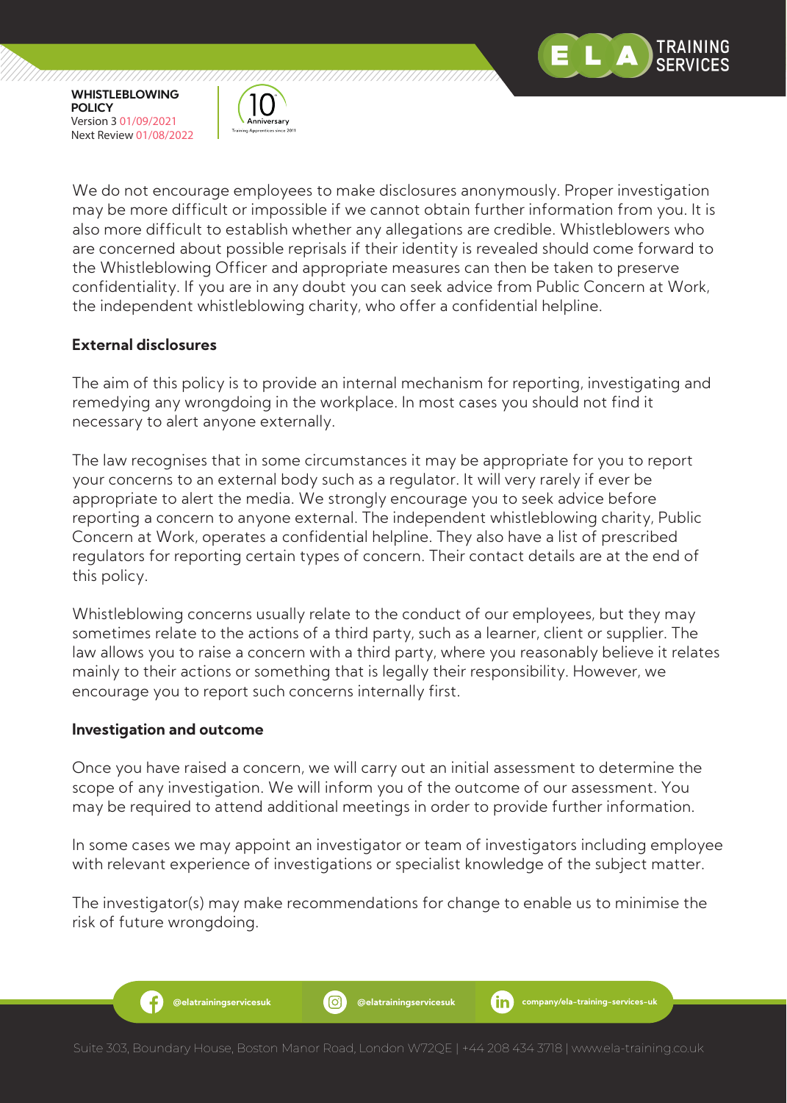

,,,,,,,,,,,,,,,,,,,,,,,,,,,,,



We do not encourage employees to make disclosures anonymously. Proper investigation may be more difficult or impossible if we cannot obtain further information from you. It is also more difficult to establish whether any allegations are credible. Whistleblowers who are concerned about possible reprisals if their identity is revealed should come forward to the Whistleblowing Officer and appropriate measures can then be taken to preserve confidentiality. If you are in any doubt you can seek advice from Public Concern at Work, the independent whistleblowing charity, who offer a confidential helpline.

## **External disclosures**

The aim of this policy is to provide an internal mechanism for reporting, investigating and remedying any wrongdoing in the workplace. In most cases you should not find it necessary to alert anyone externally.

The law recognises that in some circumstances it may be appropriate for you to report your concerns to an external body such as a regulator. It will very rarely if ever be appropriate to alert the media. We strongly encourage you to seek advice before reporting a concern to anyone external. The independent whistleblowing charity, Public Concern at Work, operates a confidential helpline. They also have a list of prescribed regulators for reporting certain types of concern. Their contact details are at the end of this policy.

Whistleblowing concerns usually relate to the conduct of our employees, but they may sometimes relate to the actions of a third party, such as a learner, client or supplier. The law allows you to raise a concern with a third party, where you reasonably believe it relates mainly to their actions or something that is legally their responsibility. However, we encourage you to report such concerns internally first.

#### **Investigation and outcome**

Ŧ

Once you have raised a concern, we will carry out an initial assessment to determine the scope of any investigation. We will inform you of the outcome of our assessment. You may be required to attend additional meetings in order to provide further information.

In some cases we may appoint an investigator or team of investigators including employee with relevant experience of investigations or specialist knowledge of the subject matter.

The investigator(s) may make recommendations for change to enable us to minimise the risk of future wrongdoing.

**@elatrainingservicesuk @elatrainingservicesuk company/ela-training-services-uk**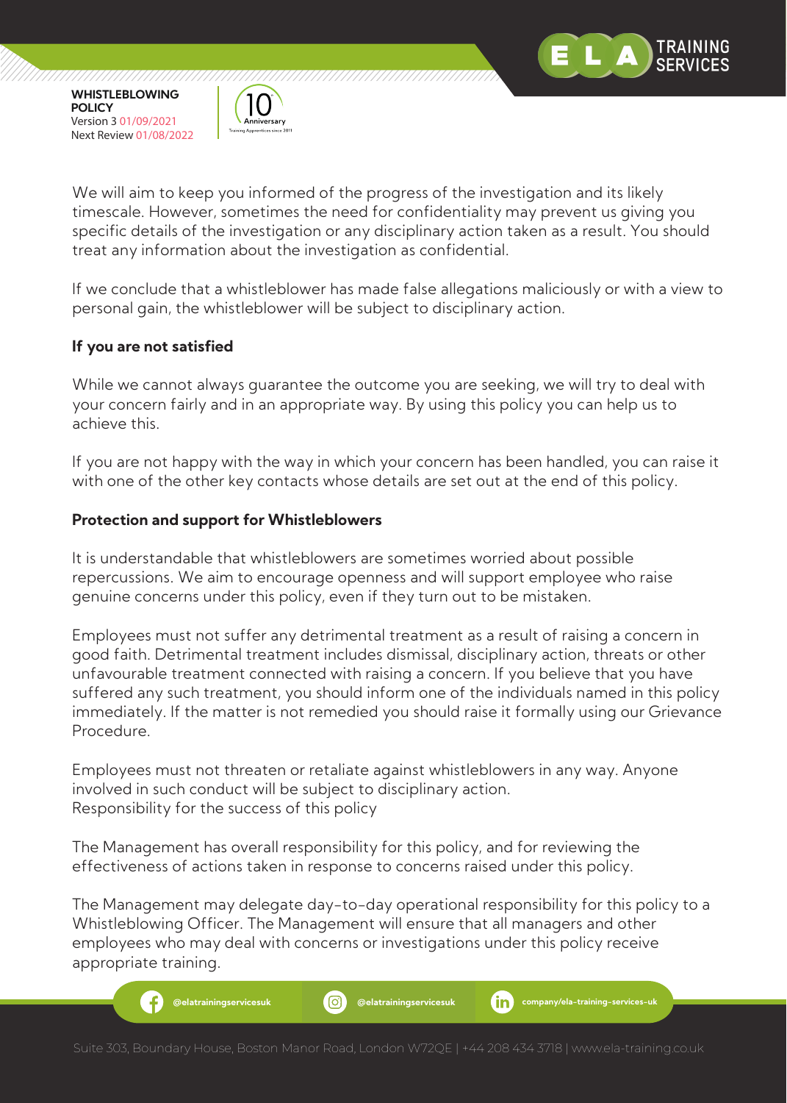



We will aim to keep you informed of the progress of the investigation and its likely timescale. However, sometimes the need for confidentiality may prevent us giving you specific details of the investigation or any disciplinary action taken as a result. You should treat any information about the investigation as confidential.

If we conclude that a whistleblower has made false allegations maliciously or with a view to personal gain, the whistleblower will be subject to disciplinary action.

## **If you are not satisfied**

While we cannot always guarantee the outcome you are seeking, we will try to deal with your concern fairly and in an appropriate way. By using this policy you can help us to achieve this.

If you are not happy with the way in which your concern has been handled, you can raise it with one of the other key contacts whose details are set out at the end of this policy.

## **Protection and support for Whistleblowers**

It is understandable that whistleblowers are sometimes worried about possible repercussions. We aim to encourage openness and will support employee who raise genuine concerns under this policy, even if they turn out to be mistaken.

Employees must not suffer any detrimental treatment as a result of raising a concern in good faith. Detrimental treatment includes dismissal, disciplinary action, threats or other unfavourable treatment connected with raising a concern. If you believe that you have suffered any such treatment, you should inform one of the individuals named in this policy immediately. If the matter is not remedied you should raise it formally using our Grievance Procedure.

Employees must not threaten or retaliate against whistleblowers in any way. Anyone involved in such conduct will be subject to disciplinary action. Responsibility for the success of this policy

The Management has overall responsibility for this policy, and for reviewing the effectiveness of actions taken in response to concerns raised under this policy.

The Management may delegate day-to-day operational responsibility for this policy to a Whistleblowing Officer. The Management will ensure that all managers and other employees who may deal with concerns or investigations under this policy receive appropriate training.